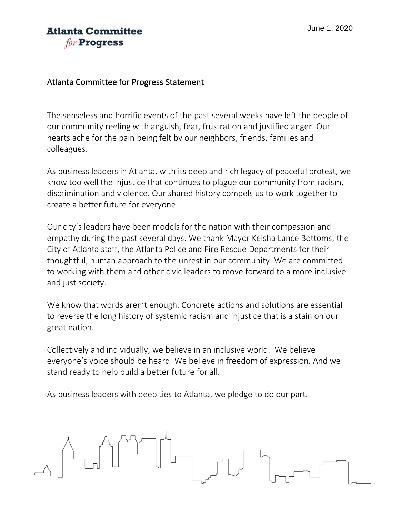## **Atlanta Committee** for **Progress**

## Atlanta Committee for Progress Statement

The senseless and horrific events of the past several weeks have left the people of our community reeling with anguish, fear, frustration and justified anger. Our hearts ache for the pain being felt by our neighbors, friends, families and colleagues.

As business leaders in Atlanta, with its deep and rich legacy of peaceful protest, we know too well the injustice that continues to plague our community from racism, discrimination and violence. Our shared history compels us to work together to create a better future for everyone.

Our city's leaders have been models for the nation with their compassion and empathy during the past several days. We thank Mayor Keisha Lance Bottoms, the City of Atlanta staff, the Atlanta Police and Fire Rescue Departments for their thoughtful, human approach to the unrest in our community. We are committed to working with them and other civic leaders to move forward to a more inclusive and just society.

We know that words aren't enough. Concrete actions and solutions are essential to reverse the long history of systemic racism and injustice that is a stain on our great nation.

Collectively and individually, we believe in an inclusive world. We believe everyone's voice should be heard. We believe in freedom of expression. And we stand ready to help build a better future for all.

As business leaders with deep ties to Atlanta, we pledge to do our part.